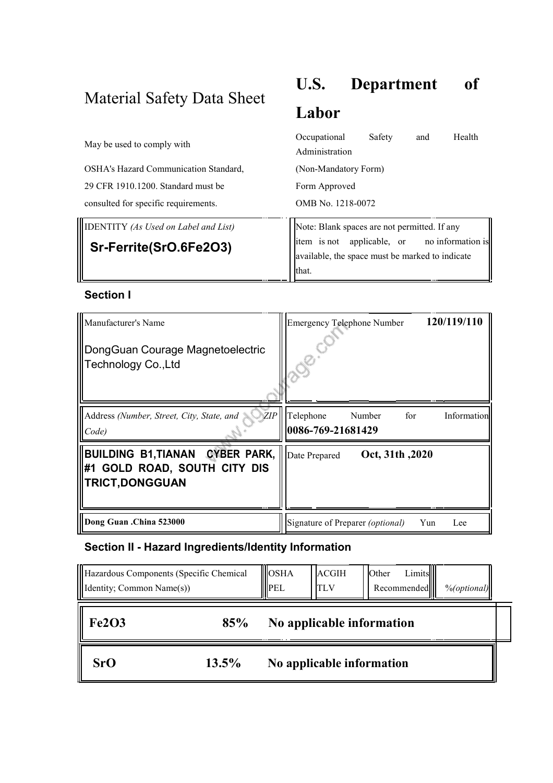# Material Safety Data Sheet

# **U.S. Department of**

## **Labor**

| May be used to comply with                  | Health<br>Safety<br>Occupational<br>and<br>Administration                                                                                       |
|---------------------------------------------|-------------------------------------------------------------------------------------------------------------------------------------------------|
| OSHA's Hazard Communication Standard,       | (Non-Mandatory Form)                                                                                                                            |
| 29 CFR 1910.1200. Standard must be          | Form Approved                                                                                                                                   |
| consulted for specific requirements.        | OMB No. 1218-0072                                                                                                                               |
| <b>IDENTITY</b> (As Used on Label and List) |                                                                                                                                                 |
| Sr-Ferrite(SrO.6Fe2O3)                      | Note: Blank spaces are not permitted. If any<br>item is not applicable, or no information is<br>available, the space must be marked to indicate |
|                                             | <b>that</b>                                                                                                                                     |

#### **Section I**

| Manufacturer's Name<br>DongGuan Courage Magnetoelectric<br>Technology Co., Ltd            | 120/119/110<br><b>Emergency Telephone Number</b>               |
|-------------------------------------------------------------------------------------------|----------------------------------------------------------------|
| ZIP<br>Address (Number, Street, City, State, and<br>Code)                                 | Telephone<br>for<br>Number<br>Information<br>0086-769-21681429 |
| BUILDING B1, TIANAN CYBER PARK,<br>#1 GOLD ROAD, SOUTH CITY DIS<br><b>TRICT, DONGGUAN</b> | Oct, 31th, 2020<br>Date Prepared                               |
| Dong Guan .China 523000                                                                   | Signature of Preparer <i>(optional)</i><br>Yun<br>Lee          |

## **Section II - Hazard Ingredients/Identity Information**

| Hazardous Components (Specific Chemical<br>Identity; Common Name(s)) |          | $\log_{h{A}}$<br><b>II</b> PEL | <b>ACGIH</b><br>TLV       | Other | Limits<br>Recommended | $\%$ (optional) |
|----------------------------------------------------------------------|----------|--------------------------------|---------------------------|-------|-----------------------|-----------------|
| <b>Fe2O3</b>                                                         | 85%      |                                | No applicable information |       |                       |                 |
| SrO                                                                  | $13.5\%$ |                                | No applicable information |       |                       |                 |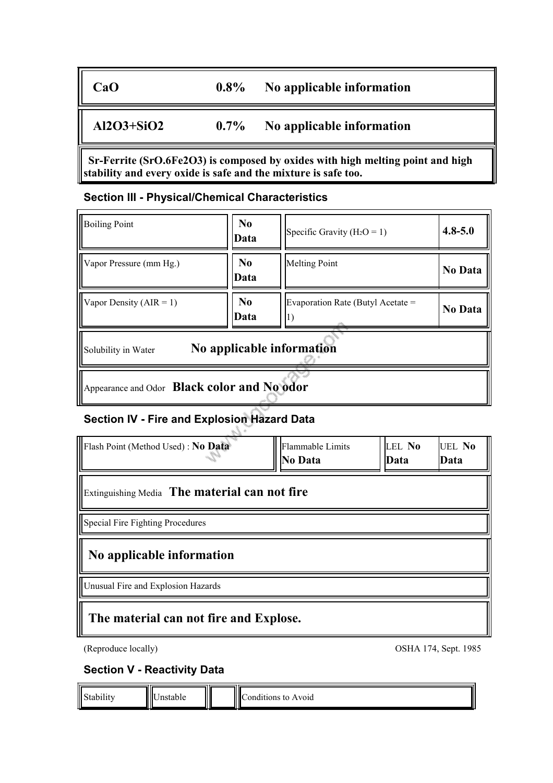#### **CaO 0.8% No applicable information**

## **Al2O3+SiO2 0.7% No applicable information**

**Sr-Ferrite (SrO.6Fe2O3) is composed by oxides with high melting point and high stability and every oxide is safe and the mixture is safe too.**

#### **Section III - Physical/Chemical Characteristics**

| <b>Boiling Point</b>                             | N <sub>0</sub><br>Data | Specific Gravity ( $H_2O = 1$ )         | $4.8 - 5.0$ |  |  |
|--------------------------------------------------|------------------------|-----------------------------------------|-------------|--|--|
| Vapor Pressure (mm Hg.)                          | N <sub>0</sub><br>Data | Melting Point                           | No Data     |  |  |
| Vapor Density ( $AIR = 1$ )                      | N <sub>0</sub><br>Data | Evaporation Rate (Butyl Acetate =<br>п. | No Data     |  |  |
| No applicable information<br>Solubility in Water |                        |                                         |             |  |  |
| Appearance and Odor Black color and No odor      |                        |                                         |             |  |  |

## **Section IV - Fire and Explosion Hazard Data**

| Flash Point (Method Used) : No Data           | Flammable Limits<br><b>No Data</b> | LEL No<br>Data | <b>UEL No</b><br>lData |  |  |
|-----------------------------------------------|------------------------------------|----------------|------------------------|--|--|
| Extinguishing Media The material can not fire |                                    |                |                        |  |  |
| Special Fire Fighting Procedures              |                                    |                |                        |  |  |
| No applicable information                     |                                    |                |                        |  |  |
| Unusual Fire and Explosion Hazards            |                                    |                |                        |  |  |
| The material can not fire and Explose.        |                                    |                |                        |  |  |

(Reproduce locally) OSHA 174, Sept. 1985

#### **Section V - Reactivity Data**

| $\ \mathrm{Sta}\ $<br>$\cdots$<br>лиг | IIIIt t<br>stable<br>$\overline{ }$<br>. |  | Ⅲ<br>$\sim$ $\sim$<br>Avoid<br>ŤΩ<br>ondifions.<br>ш |
|---------------------------------------|------------------------------------------|--|------------------------------------------------------|
|---------------------------------------|------------------------------------------|--|------------------------------------------------------|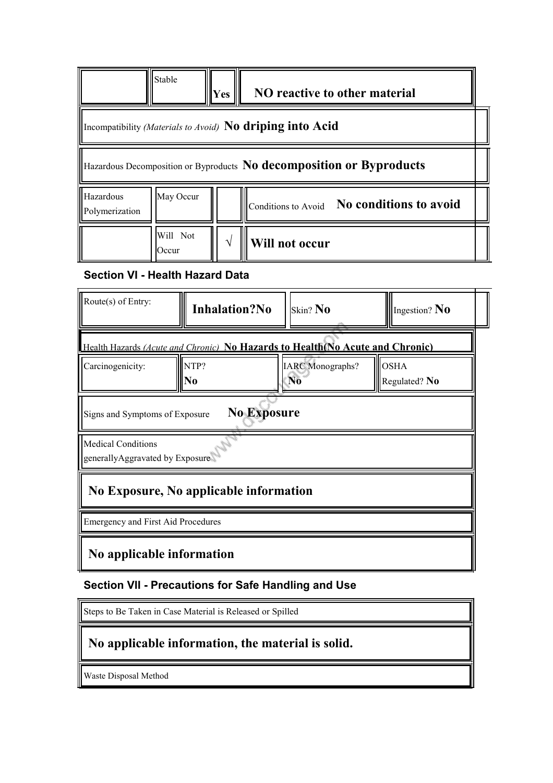| Stable                                                                                                                  | NO reactive to other material<br><b>Yes</b>                                   |  |  |  |  |
|-------------------------------------------------------------------------------------------------------------------------|-------------------------------------------------------------------------------|--|--|--|--|
| Incompatibility (Materials to Avoid) No driping into Acid                                                               |                                                                               |  |  |  |  |
| Hazardous Decomposition or Byproducts No decomposition or Byproducts                                                    |                                                                               |  |  |  |  |
| May Occur<br>Hazardous<br>Conditions to Avoid No conditions to avoid<br>Polymerization                                  |                                                                               |  |  |  |  |
| Will Not<br>Occur                                                                                                       | Will not occur                                                                |  |  |  |  |
| <b>Section VI - Health Hazard Data</b>                                                                                  |                                                                               |  |  |  |  |
| Route $(s)$ of Entry:<br><b>Inhalation?No</b><br>Skin? $No$<br>Ingestion? $\overline{\text{No}}$                        |                                                                               |  |  |  |  |
|                                                                                                                         | Health Hazards (Acute and Chronic) No Hazards to Health No Acute and Chronic) |  |  |  |  |
| <b>OSHA</b><br>NTP?<br><b>IARC</b> Monographs?<br>Carcinogenicity:<br>N <sub>0</sub><br>N <sub>0</sub><br>Regulated? No |                                                                               |  |  |  |  |
| <b>No Exposure</b><br>Signs and Symptoms of Exposure                                                                    |                                                                               |  |  |  |  |
| <b>Medical Conditions</b><br>generallyAggravated by Exposure                                                            |                                                                               |  |  |  |  |
| No Exposure, No applicable information                                                                                  |                                                                               |  |  |  |  |
| <b>Emergency and First Aid Procedures</b>                                                                               |                                                                               |  |  |  |  |
| No applicable information                                                                                               |                                                                               |  |  |  |  |

#### **Section VII - Precautions for Safe Handling and Use**

Steps to Be Taken in Case Material is Released or Spilled

## **No applicable information, the material is solid.**

Waste Disposal Method